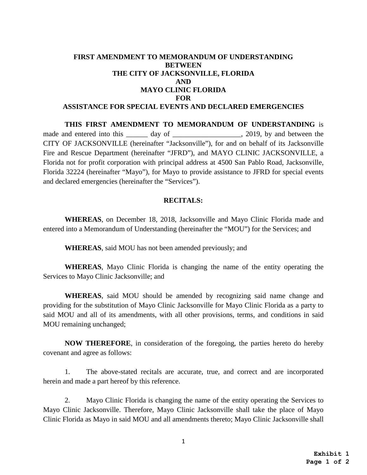## **FIRST AMENDMENT TO MEMORANDUM OF UNDERSTANDING BETWEEN THE CITY OF JACKSONVILLE, FLORIDA AND MAYO CLINIC FLORIDA FOR ASSISTANCE FOR SPECIAL EVENTS AND DECLARED EMERGENCIES**

**THIS FIRST AMENDMENT TO MEMORANDUM OF UNDERSTANDING** is made and entered into this day of enterty and between the same state of the same day of  $\frac{2019}{1000}$ , by and between the CITY OF JACKSONVILLE (hereinafter "Jacksonville"), for and on behalf of its Jacksonville Fire and Rescue Department (hereinafter "JFRD"), and MAYO CLINIC JACKSONVILLE, a Florida not for profit corporation with principal address at 4500 San Pablo Road, Jacksonville, Florida 32224 (hereinafter "Mayo"), for Mayo to provide assistance to JFRD for special events and declared emergencies (hereinafter the "Services").

### **RECITALS:**

**WHEREAS**, on December 18, 2018, Jacksonville and Mayo Clinic Florida made and entered into a Memorandum of Understanding (hereinafter the "MOU") for the Services; and

**WHEREAS**, said MOU has not been amended previously; and

**WHEREAS**, Mayo Clinic Florida is changing the name of the entity operating the Services to Mayo Clinic Jacksonville; and

**WHEREAS**, said MOU should be amended by recognizing said name change and providing for the substitution of Mayo Clinic Jacksonville for Mayo Clinic Florida as a party to said MOU and all of its amendments, with all other provisions, terms, and conditions in said MOU remaining unchanged;

**NOW THEREFORE**, in consideration of the foregoing, the parties hereto do hereby covenant and agree as follows:

1. The above-stated recitals are accurate, true, and correct and are incorporated herein and made a part hereof by this reference.

2. Mayo Clinic Florida is changing the name of the entity operating the Services to Mayo Clinic Jacksonville. Therefore, Mayo Clinic Jacksonville shall take the place of Mayo Clinic Florida as Mayo in said MOU and all amendments thereto; Mayo Clinic Jacksonville shall